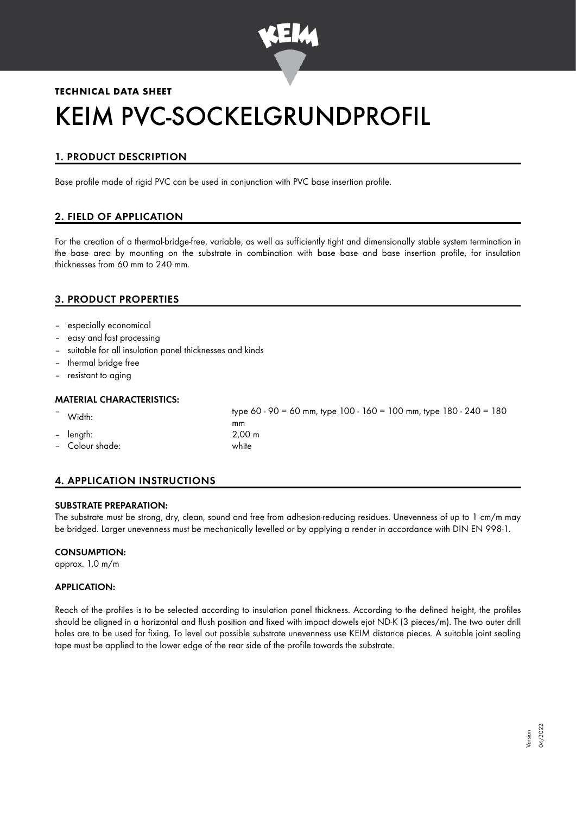

# **TECHNICAL DATA SHEET** KEIM PVC-SOCKELGRUNDPROFIL

# 1. PRODUCT DESCRIPTION

Base profile made of rigid PVC can be used in conjunction with PVC base insertion profile.

# 2. FIELD OF APPLICATION

For the creation of a thermal-bridge-free, variable, as well as sufficiently tight and dimensionally stable system termination in the base area by mounting on the substrate in combination with base base and base insertion profile, for insulation thicknesses from 60 mm to 240 mm.

## 3. PRODUCT PROPERTIES

- especially economical
- easy and fast processing
- suitable for all insulation panel thicknesses and kinds
- thermal bridge free
- resistant to aging

#### MATERIAL CHARACTERISTICS:

– length: 2,00 m – Colour shade: white

– Width: type 60 - 90 = 60 mm, type 100 - 160 = 100 mm, type 180 - 240 = 180 mm

# 4. APPLICATION INSTRUCTIONS

#### SUBSTRATE PREPARATION:

The substrate must be strong, dry, clean, sound and free from adhesion-reducing residues. Unevenness of up to 1 cm/m may be bridged. Larger unevenness must be mechanically levelled or by applying a render in accordance with DIN EN 998-1.

#### CONSUMPTION:

approx. 1,0 m/m

#### APPLICATION:

Reach of the profiles is to be selected according to insulation panel thickness. According to the defined height, the profiles should be aligned in a horizontal and flush position and fixed with impact dowels ejot ND-K (3 pieces/m). The two outer drill holes are to be used for fixing. To level out possible substrate unevenness use KEIM distance pieces. A suitable joint sealing tape must be applied to the lower edge of the rear side of the profile towards the substrate.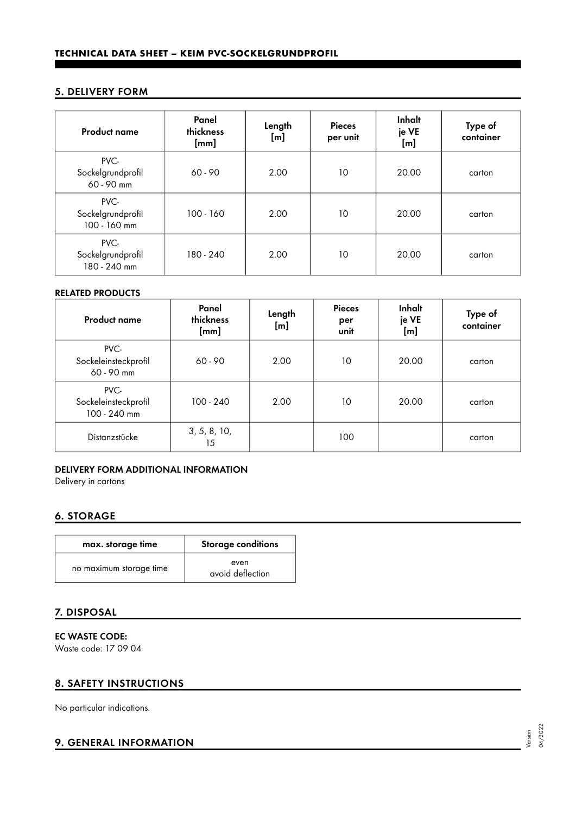## 5. DELIVERY FORM

| <b>Product name</b>                       | Panel<br>thickness<br>$[{\sf mm}]$ | Length<br>[m] | <b>Pieces</b><br>per unit | Inhalt<br>je VE<br>[m] | Type of<br>container |
|-------------------------------------------|------------------------------------|---------------|---------------------------|------------------------|----------------------|
| PVC-<br>Sockelgrundprofil<br>60 - 90 mm   | 60 - 90                            | 2.00          | 10                        | 20.00                  | carton               |
| PVC-<br>Sockelgrundprofil<br>100 - 160 mm | $100 - 160$                        | 2.00          | 10                        | 20.00                  | carton               |
| PVC-<br>Sockelgrundprofil<br>180 - 240 mm | 180 - 240                          | 2.00          | 10                        | 20.00                  | carton               |

#### RELATED PRODUCTS

| <b>Product name</b>                          | Panel<br>thickness<br>[mm] | Length<br>[m] | <b>Pieces</b><br>per<br>unit | Inhalt<br>je VE<br>[m] | Type of<br>container |
|----------------------------------------------|----------------------------|---------------|------------------------------|------------------------|----------------------|
| PVC-<br>Sockeleinsteckprofil<br>60 - 90 mm   | $60 - 90$                  | 2.00          | 10                           | 20.00                  | carton               |
| PVC-<br>Sockeleinsteckprofil<br>100 - 240 mm | $100 - 240$                | 2.00          | 10                           | 20.00                  | carton               |
| Distanzstücke                                | 3, 5, 8, 10,<br>15         |               | 100                          |                        | carton               |

#### DELIVERY FORM ADDITIONAL INFORMATION

Delivery in cartons

# 6. STORAGE

| max. storage time       | Storage conditions       |  |  |
|-------------------------|--------------------------|--|--|
| no maximum storage time | even<br>avoid deflection |  |  |

## 7. DISPOSAL

EC WASTE CODE: Waste code: 17 09 04

## 8. SAFETY INSTRUCTIONS

No particular indications.

## 9. GENERAL INFORMATION

Version 04/2022